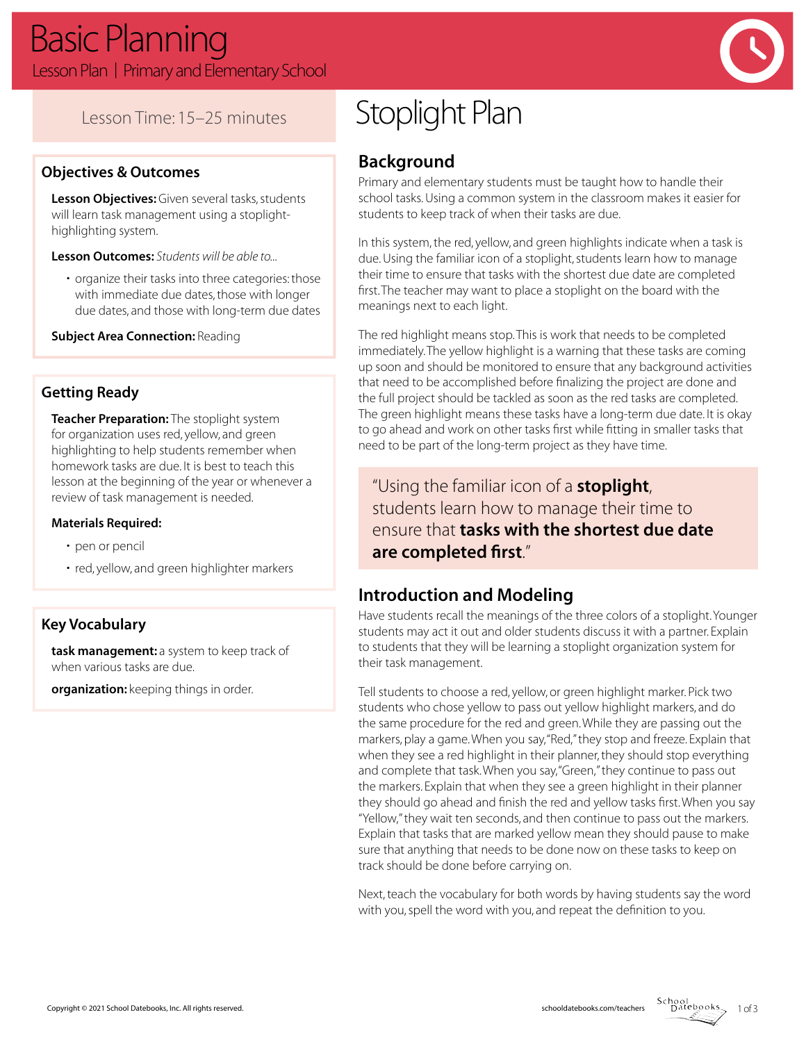

## Lesson Time: 15–25 minutes

#### **Objectives & Outcomes**

**Lesson Objectives:** Given several tasks, students will learn task management using a stoplighthighlighting system.

**Lesson Outcomes:** *Students will be able to...*

• organize their tasks into three categories: those with immediate due dates, those with longer due dates, and those with long-term due dates

**Subject Area Connection: Reading** 

#### **Getting Ready**

**Teacher Preparation:** The stoplight system for organization uses red, yellow, and green highlighting to help students remember when homework tasks are due. It is best to teach this lesson at the beginning of the year or whenever a review of task management is needed.

#### **Materials Required:**

- pen or pencil
- red, yellow, and green highlighter markers

#### **Key Vocabulary**

**task management:** a system to keep track of when various tasks are due.

**organization:** keeping things in order.

# Stoplight Plan

## **Background**

Primary and elementary students must be taught how to handle their school tasks. Using a common system in the classroom makes it easier for students to keep track of when their tasks are due.

In this system, the red, yellow, and green highlights indicate when a task is due. Using the familiar icon of a stoplight, students learn how to manage their time to ensure that tasks with the shortest due date are completed first. The teacher may want to place a stoplight on the board with the meanings next to each light.

The red highlight means stop. This is work that needs to be completed immediately. The yellow highlight is a warning that these tasks are coming up soon and should be monitored to ensure that any background activities that need to be accomplished before finalizing the project are done and the full project should be tackled as soon as the red tasks are completed. The green highlight means these tasks have a long-term due date. It is okay to go ahead and work on other tasks first while fitting in smaller tasks that need to be part of the long-term project as they have time.

"Using the familiar icon of a **stoplight**, students learn how to manage their time to ensure that **tasks with the shortest due date are completed first**."

## **Introduction and Modeling**

Have students recall the meanings of the three colors of a stoplight. Younger students may act it out and older students discuss it with a partner. Explain to students that they will be learning a stoplight organization system for their task management.

Tell students to choose a red, yellow, or green highlight marker. Pick two students who chose yellow to pass out yellow highlight markers, and do the same procedure for the red and green. While they are passing out the markers, play a game. When you say, "Red," they stop and freeze. Explain that when they see a red highlight in their planner, they should stop everything and complete that task. When you say, "Green," they continue to pass out the markers. Explain that when they see a green highlight in their planner they should go ahead and finish the red and yellow tasks first. When you say "Yellow," they wait ten seconds, and then continue to pass out the markers. Explain that tasks that are marked yellow mean they should pause to make sure that anything that needs to be done now on these tasks to keep on track should be done before carrying on.

Next, teach the vocabulary for both words by having students say the word with you, spell the word with you, and repeat the definition to you.

School<br>Datebooks 1 of 3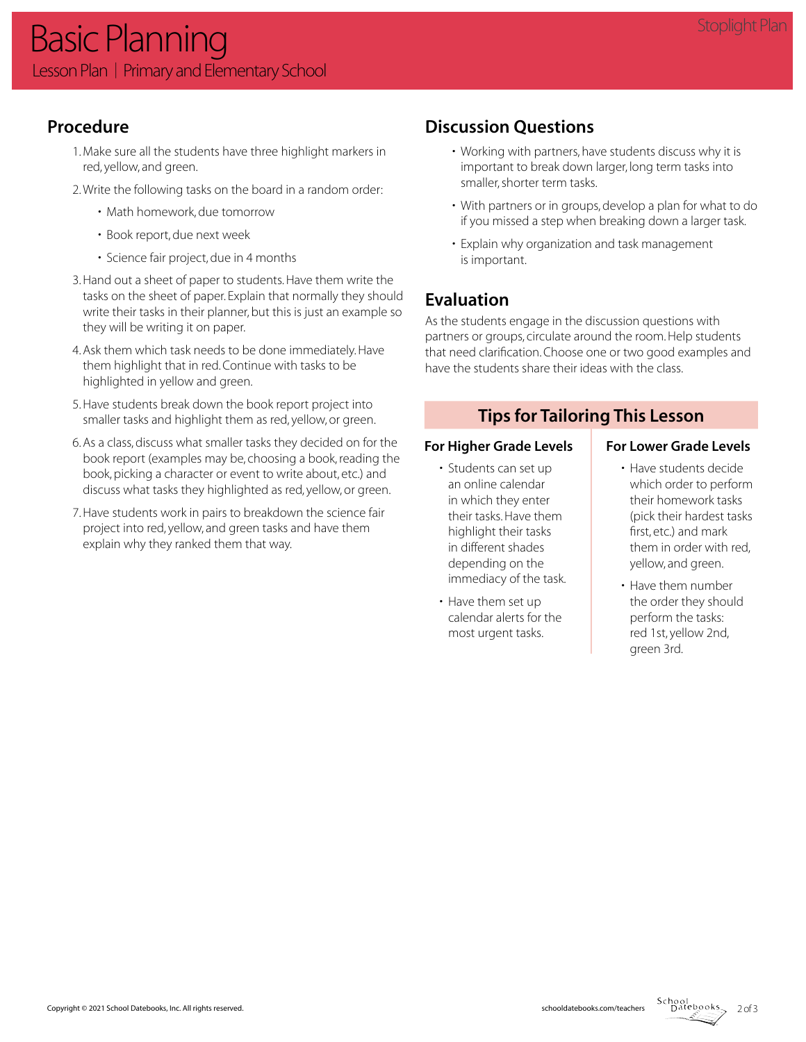## **Procedure**

- 1. Make sure all the students have three highlight markers in red, yellow, and green.
- 2. Write the following tasks on the board in a random order:
	- Math homework, due tomorrow
	- Book report, due next week
	- Science fair project, due in 4 months
- 3. Hand out a sheet of paper to students. Have them write the tasks on the sheet of paper. Explain that normally they should write their tasks in their planner, but this is just an example so they will be writing it on paper.
- 4. Ask them which task needs to be done immediately. Have them highlight that in red. Continue with tasks to be highlighted in yellow and green.
- 5. Have students break down the book report project into smaller tasks and highlight them as red, yellow, or green.
- 6. As a class, discuss what smaller tasks they decided on for the book report (examples may be, choosing a book, reading the book, picking a character or event to write about, etc.) and discuss what tasks they highlighted as red, yellow, or green.
- 7. Have students work in pairs to breakdown the science fair project into red, yellow, and green tasks and have them explain why they ranked them that way.

## **Discussion Questions**

- Working with partners, have students discuss why it is important to break down larger, long term tasks into smaller, shorter term tasks.
- With partners or in groups, develop a plan for what to do if you missed a step when breaking down a larger task.
- Explain why organization and task management is important.

## **Evaluation**

As the students engage in the discussion questions with partners or groups, circulate around the room. Help students that need clarification. Choose one or two good examples and have the students share their ideas with the class.

## **Tips for Tailoring This Lesson**

#### For Higher Grade Levels | For Lower Grade Levels

- Students can set up an online calendar in which they enter their tasks. Have them highlight their tasks in different shades depending on the immediacy of the task.
- Have them set up calendar alerts for the most urgent tasks.

- Have students decide which order to perform their homework tasks (pick their hardest tasks first, etc.) and mark them in order with red, yellow, and green.
- Have them number the order they should perform the tasks: red 1st, yellow 2nd, green 3rd.